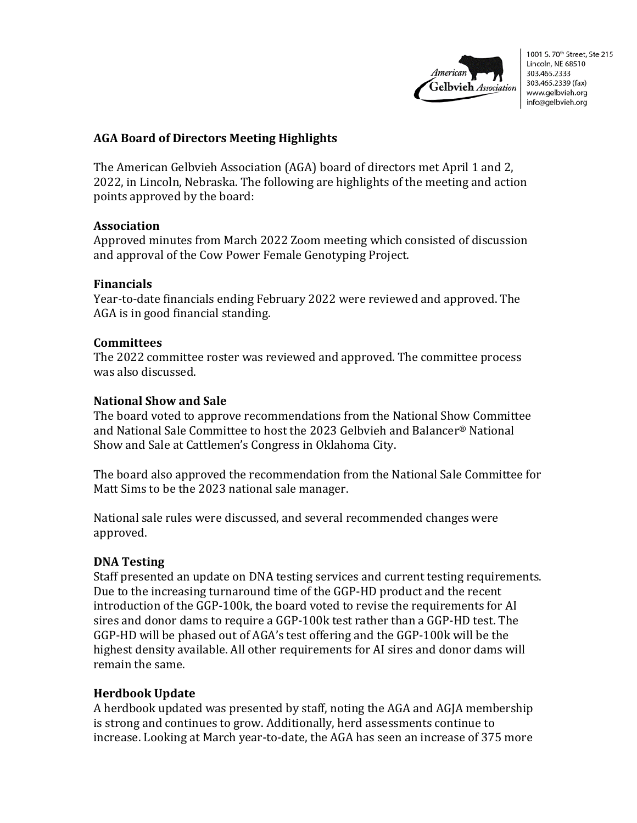

# **AGA Board of Directors Meeting Highlights**

The American Gelbvieh Association (AGA) board of directors met April 1 and 2, 2022, in Lincoln, Nebraska. The following are highlights of the meeting and action points approved by the board:

## **Association**

Approved minutes from March 2022 Zoom meeting which consisted of discussion and approval of the Cow Power Female Genotyping Project.

## **Financials**

Year-to-date financials ending February 2022 were reviewed and approved. The AGA is in good financial standing.

## **Committees**

The 2022 committee roster was reviewed and approved. The committee process was also discussed.

## **National Show and Sale**

The board voted to approve recommendations from the National Show Committee and National Sale Committee to host the 2023 Gelbvieh and Balancer® National Show and Sale at Cattlemen's Congress in Oklahoma City.

The board also approved the recommendation from the National Sale Committee for Matt Sims to be the 2023 national sale manager.

National sale rules were discussed, and several recommended changes were approved.

## **DNA Testing**

Staff presented an update on DNA testing services and current testing requirements. Due to the increasing turnaround time of the GGP-HD product and the recent introduction of the GGP-100k, the board voted to revise the requirements for AI sires and donor dams to require a GGP-100k test rather than a GGP-HD test. The GGP-HD will be phased out of AGA's test offering and the GGP-100k will be the highest density available. All other requirements for AI sires and donor dams will remain the same.

## **Herdbook Update**

A herdbook updated was presented by staff, noting the AGA and AGJA membership is strong and continues to grow. Additionally, herd assessments continue to increase. Looking at March year-to-date, the AGA has seen an increase of 375 more